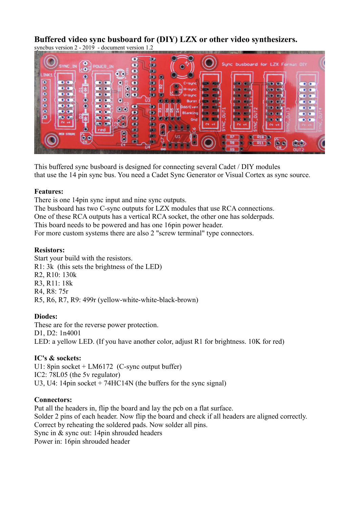# **Buffered video sync busboard for (DIY) LZX or other video synthesizers.**

syncbus version 2 - 2019 - document version 1.2



This buffered sync busboard is designed for connecting several Cadet / DIY modules that use the 14 pin sync bus. You need a Cadet Sync Generator or Visual Cortex as sync source.

#### **Features:**

There is one 14pin sync input and nine sync outputs.

The busboard has two C-sync outputs for LZX modules that use RCA connections.

One of these RCA outputs has a vertical RCA socket, the other one has solderpads.

This board needs to be powered and has one 16pin power header.

For more custom systems there are also 2 "screw terminal" type connectors.

# **Resistors:**

Start your build with the resistors. R1: 3k (this sets the brightness of the LED) R2, R10: 130k R3, R11: 18k R4, R8: 75r R5, R6, R7, R9: 499r (yellow-white-white-black-brown)

## **Diodes:**

These are for the reverse power protection. D1, D2: 1n4001 LED: a yellow LED. (If you have another color, adjust R1 for brightness. 10K for red)

## **IC's & sockets:**

U1: 8pin socket + LM6172 (C-sync output buffer) IC2: 78L05 (the 5v regulator) U3, U4: 14pin socket + 74HC14N (the buffers for the sync signal)

## **Connectors:**

Put all the headers in, flip the board and lay the pcb on a flat surface. Solder 2 pins of each header. Now flip the board and check if all headers are aligned correctly. Correct by reheating the soldered pads. Now solder all pins. Sync in  $\&$  sync out: 14pin shrouded headers Power in: 16pin shrouded header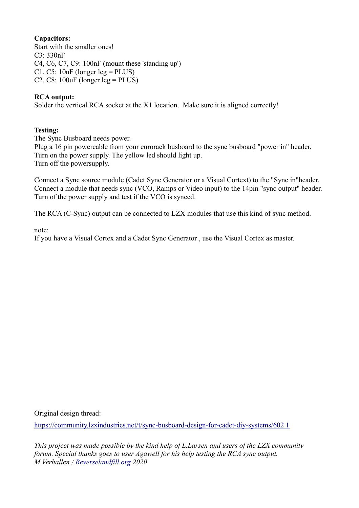# **Capacitors:**

Start with the smaller ones!  $C3.330nF$ C4, C6, C7, C9: 100nF (mount these 'standing up') C1, C5:  $10uF$  (longer leg = PLUS) C2, C8:  $100uF$  (longer leg = PLUS)

## **RCA output:**

Solder the vertical RCA socket at the X1 location. Make sure it is aligned correctly!

#### **Testing:**

The Sync Busboard needs power.

Plug a 16 pin powercable from your eurorack busboard to the sync busboard "power in" header. Turn on the power supply. The yellow led should light up. Turn off the powersupply.

Connect a Sync source module (Cadet Sync Generator or a Visual Cortext) to the "Sync in"header. Connect a module that needs sync (VCO, Ramps or Video input) to the 14pin "sync output" header. Turn of the power supply and test if the VCO is synced.

The RCA (C-Sync) output can be connected to LZX modules that use this kind of sync method.

note:

If you have a Visual Cortex and a Cadet Sync Generator , use the Visual Cortex as master.

Original design thread:

[https://community.lzxindustries.net/t/sync-busboard-design-for-cadet-diy-systems/602 1](https://community.lzxindustries.net/t/sync-busboard-design-for-cadet-diy-systems/602)

*This project was made possible by the kind help of L.Larsen and users of the LZX community forum. Special thanks goes to user Agawell for his help testing the RCA sync output. M.Verhallen / [Reverselandfill.org](http://Reverselandfill.org/) 2020*